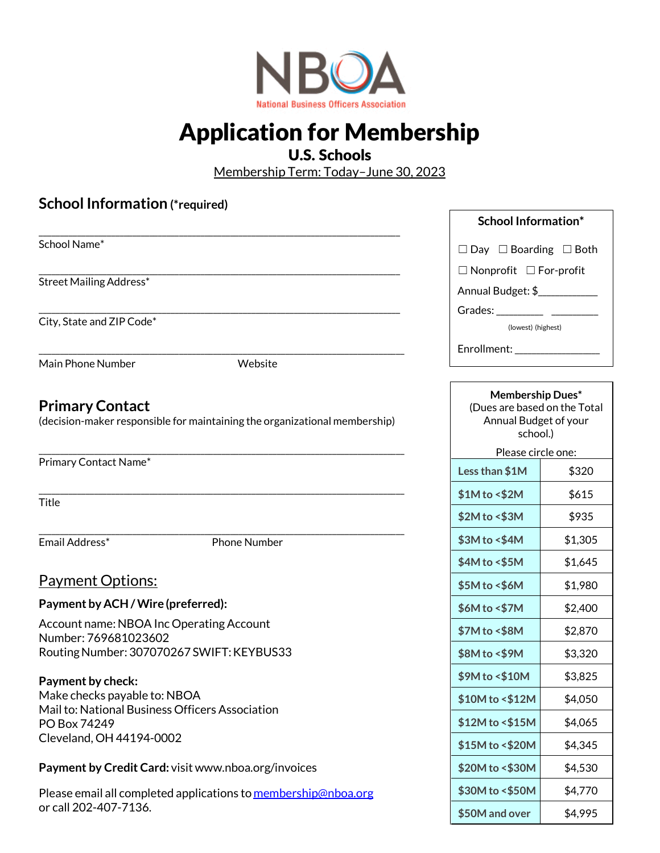

## Application for Membership

## U.S. Schools

Membership Term: Today–June 30, 2023

## **School Information (\*required)** \_\_\_\_\_\_\_\_\_\_\_\_\_\_\_\_\_\_\_\_\_\_\_\_\_\_\_\_\_\_\_\_\_\_\_\_\_\_\_\_\_\_\_\_\_\_\_\_\_\_\_\_\_\_\_\_\_\_\_\_\_\_\_\_\_\_\_\_\_\_\_\_\_\_\_\_\_\_\_\_\_\_\_\_\_ School Name\* \_\_\_\_\_\_\_\_\_\_\_\_\_\_\_\_\_\_\_\_\_\_\_\_\_\_\_\_\_\_\_\_\_\_\_\_\_\_\_\_\_\_\_\_\_\_\_\_\_\_\_\_\_\_\_\_\_\_\_\_\_\_\_\_\_\_\_\_\_\_\_\_\_\_\_\_\_\_\_\_\_\_\_\_\_ Street Mailing Address\* \_\_\_\_\_\_\_\_\_\_\_\_\_\_\_\_\_\_\_\_\_\_\_\_\_\_\_\_\_\_\_\_\_\_\_\_\_\_\_\_\_\_\_\_\_\_\_\_\_\_\_\_\_\_\_\_\_\_\_\_\_\_\_\_\_\_\_\_\_\_\_\_\_\_\_\_\_\_\_\_\_\_\_\_\_ City, State and ZIP Code\* \_\_\_\_\_\_\_\_\_\_\_\_\_\_\_\_\_\_\_\_\_\_\_\_\_\_\_\_\_\_\_\_\_\_\_\_\_\_\_\_\_\_\_\_\_\_\_\_\_\_\_\_\_\_\_\_\_\_\_\_\_\_\_\_\_\_\_\_\_\_\_\_\_\_\_\_\_\_\_\_\_\_\_\_\_\_ Main Phone Number Website **Primary Contact** (decision-maker responsible for maintaining the organizational membership) \_\_\_\_\_\_\_\_\_\_\_\_\_\_\_\_\_\_\_\_\_\_\_\_\_\_\_\_\_\_\_\_\_\_\_\_\_\_\_\_\_\_\_\_\_\_\_\_\_\_\_\_\_\_\_\_\_\_\_\_\_\_\_\_\_\_\_\_\_\_\_\_\_\_\_\_\_\_\_\_\_\_\_\_\_\_ Primary Contact Name\* \_\_\_\_\_\_\_\_\_\_\_\_\_\_\_\_\_\_\_\_\_\_\_\_\_\_\_\_\_\_\_\_\_\_\_\_\_\_\_\_\_\_\_\_\_\_\_\_\_\_\_\_\_\_\_\_\_\_\_\_\_\_\_\_\_\_\_\_\_\_\_\_\_\_\_\_\_\_\_\_\_\_\_\_\_\_ **Title** \_\_\_\_\_\_\_\_\_\_\_\_\_\_\_\_\_\_\_\_\_\_\_\_\_\_\_\_\_\_\_\_\_\_\_\_\_\_\_\_\_\_\_\_\_\_\_\_\_\_\_\_\_\_\_\_\_\_\_\_\_\_\_\_\_\_\_\_\_\_\_\_\_\_\_\_\_\_\_\_\_\_\_\_\_\_ Email Address\* Phone Number Payment Options: **Payment by ACH /Wire (preferred):** Account name: NBOA Inc Operating Account Number: 769681023602 RoutingNumber: 307070267 SWIFT:KEYBUS33 **Payment by check:** Make checks payable to: NBOA Mail to: National Business Officers Association PO Box 74249 Cleveland, OH 44194-0002 **Payment by Credit Card:** visit [www.nboa.org/invoices](http://www.nboa.org/invoices) Please email all completed applications to [membership@nboa.org](mailto:membership@nboa.org) or call 202-407-7136. **Membership Dues\***  (Dues are based on the Total Annual Budget of your school.) Please circle one: **Less than \$1M** \$320 **\$1M** to <\$2M \$615 **\$2M to <\$3M** \$935 **\$3M to <\$4M** \$1,305 **\$4M to <\$5M** \$1,645 **\$5M to <\$6M** \$1,980 **\$6M to <\$7M** \$2,400 **\$7M to <\$8M** \$2,870 **\$8M to <\$9M** \$3,320 **\$9M to <\$10M** \$3,825 **\$10M to <\$12M** \$4,050 **\$12M to <\$15M** \$4,065 **\$15M to <\$20M** \$4,345 **\$20M to <\$30M** \$4,530 **\$30M to <\$50M** \$4,770 **School Information\*** □ Day □ Boarding □ Both ☐ Nonprofit ☐ For-profit Annual Budget: \$\_\_\_\_\_\_\_\_\_\_\_\_\_ Grades: \_\_\_\_\_\_\_\_\_\_\_ \_\_\_\_\_\_\_\_\_\_\_ (lowest) (highest) Enrollment:

**\$50M and over** \$4,995